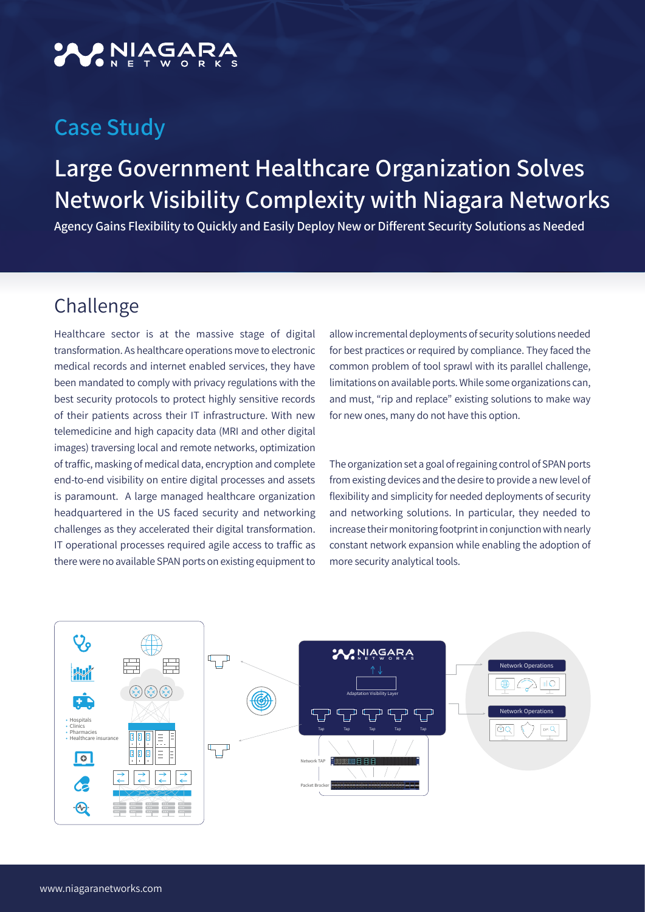# NIAGAR

### **Case Study**

## **Large Government Healthcare Organization Solves Network Visibility Complexity with Niagara Networks**

Agency Gains Flexibility to Quickly and Easily Deploy New or Different Security Solutions as Needed

#### Challenge

Healthcare sector is at the massive stage of digital transformation. As healthcare operations move to electronic medical records and internet enabled services, they have been mandated to comply with privacy regulations with the best security protocols to protect highly sensitive records of their patients across their IT infrastructure. With new telemedicine and high capacity data (MRI and other digital images) traversing local and remote networks, optimization of traffic, masking of medical data, encryption and complete end-to-end visibility on entire digital processes and assets is paramount. A large managed healthcare organization headquartered in the US faced security and networking challenges as they accelerated their digital transformation. IT operational processes required agile access to traffic as there were no available SPAN ports on existing equipment to

allow incremental deployments of security solutions needed for best practices or required by compliance. They faced the common problem of tool sprawl with its parallel challenge, limitations on available ports. While some organizations can, and must, "rip and replace" existing solutions to make way for new ones, many do not have this option.

The organization set a goal of regaining control of SPAN ports from existing devices and the desire to provide a new level of flexibility and simplicity for needed deployments of security and networking solutions. In particular, they needed to increase their monitoring footprint in conjunction with nearly constant network expansion while enabling the adoption of more security analytical tools.